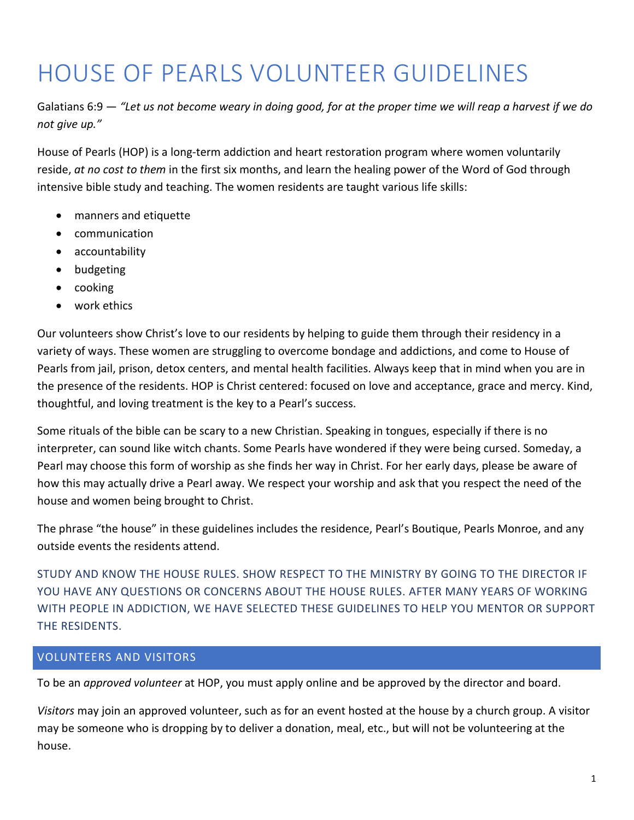# HOUSE OF PEARLS VOLUNTEER GUIDELINES

Galatians 6:9 — *"Let us not become weary in doing good, for at the proper time we will reap a harvest if we do not give up."*

House of Pearls (HOP) is a long-term addiction and heart restoration program where women voluntarily reside, *at no cost to them* in the first six months, and learn the healing power of the Word of God through intensive bible study and teaching. The women residents are taught various life skills:

- manners and etiquette
- communication
- accountability
- budgeting
- cooking
- work ethics

Our volunteers show Christ's love to our residents by helping to guide them through their residency in a variety of ways. These women are struggling to overcome bondage and addictions, and come to House of Pearls from jail, prison, detox centers, and mental health facilities. Always keep that in mind when you are in the presence of the residents. HOP is Christ centered: focused on love and acceptance, grace and mercy. Kind, thoughtful, and loving treatment is the key to a Pearl's success.

Some rituals of the bible can be scary to a new Christian. Speaking in tongues, especially if there is no interpreter, can sound like witch chants. Some Pearls have wondered if they were being cursed. Someday, a Pearl may choose this form of worship as she finds her way in Christ. For her early days, please be aware of how this may actually drive a Pearl away. We respect your worship and ask that you respect the need of the house and women being brought to Christ.

The phrase "the house" in these guidelines includes the residence, Pearl's Boutique, Pearls Monroe, and any outside events the residents attend.

STUDY AND KNOW THE HOUSE RULES. SHOW RESPECT TO THE MINISTRY BY GOING TO THE DIRECTOR IF YOU HAVE ANY QUESTIONS OR CONCERNS ABOUT THE HOUSE RULES. AFTER MANY YEARS OF WORKING WITH PEOPLE IN ADDICTION, WE HAVE SELECTED THESE GUIDELINES TO HELP YOU MENTOR OR SUPPORT THE RESIDENTS.

# VOLUNTEERS AND VISITORS

To be an *approved volunteer* at HOP, you must apply online and be approved by the director and board.

*Visitors* may join an approved volunteer, such as for an event hosted at the house by a church group. A visitor may be someone who is dropping by to deliver a donation, meal, etc., but will not be volunteering at the house.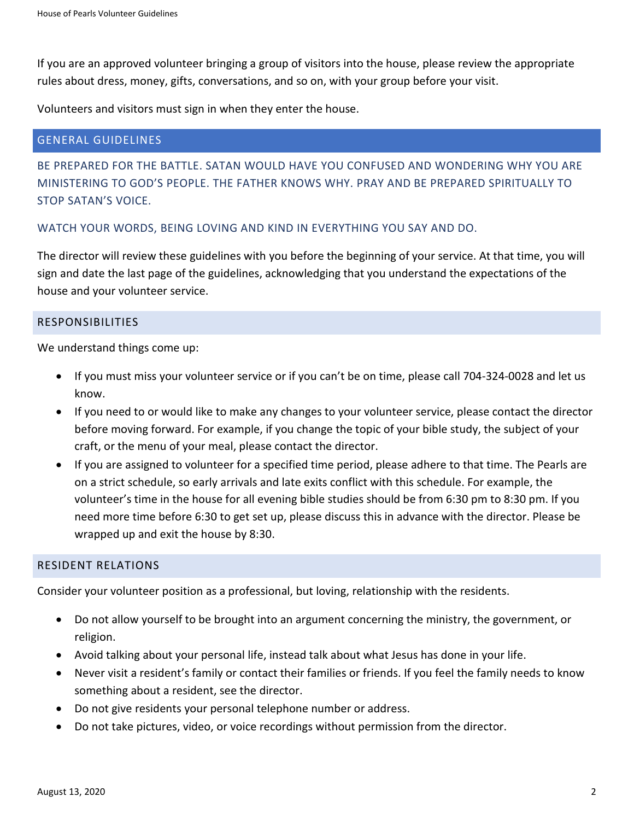If you are an approved volunteer bringing a group of visitors into the house, please review the appropriate rules about dress, money, gifts, conversations, and so on, with your group before your visit.

Volunteers and visitors must sign in when they enter the house.

# GENERAL GUIDELINES

BE PREPARED FOR THE BATTLE. SATAN WOULD HAVE YOU CONFUSED AND WONDERING WHY YOU ARE MINISTERING TO GOD'S PEOPLE. THE FATHER KNOWS WHY. PRAY AND BE PREPARED SPIRITUALLY TO STOP SATAN'S VOICE.

# WATCH YOUR WORDS, BEING LOVING AND KIND IN EVERYTHING YOU SAY AND DO.

The director will review these guidelines with you before the beginning of your service. At that time, you will sign and date the last page of the guidelines, acknowledging that you understand the expectations of the house and your volunteer service.

## RESPONSIBILITIES

We understand things come up:

- If you must miss your volunteer service or if you can't be on time, please call 704-324-0028 and let us know.
- If you need to or would like to make any changes to your volunteer service, please contact the director before moving forward. For example, if you change the topic of your bible study, the subject of your craft, or the menu of your meal, please contact the director.
- If you are assigned to volunteer for a specified time period, please adhere to that time. The Pearls are on a strict schedule, so early arrivals and late exits conflict with this schedule. For example, the volunteer's time in the house for all evening bible studies should be from 6:30 pm to 8:30 pm. If you need more time before 6:30 to get set up, please discuss this in advance with the director. Please be wrapped up and exit the house by 8:30.

## RESIDENT RELATIONS

Consider your volunteer position as a professional, but loving, relationship with the residents.

- Do not allow yourself to be brought into an argument concerning the ministry, the government, or religion.
- Avoid talking about your personal life, instead talk about what Jesus has done in your life.
- Never visit a resident's family or contact their families or friends. If you feel the family needs to know something about a resident, see the director.
- Do not give residents your personal telephone number or address.
- Do not take pictures, video, or voice recordings without permission from the director.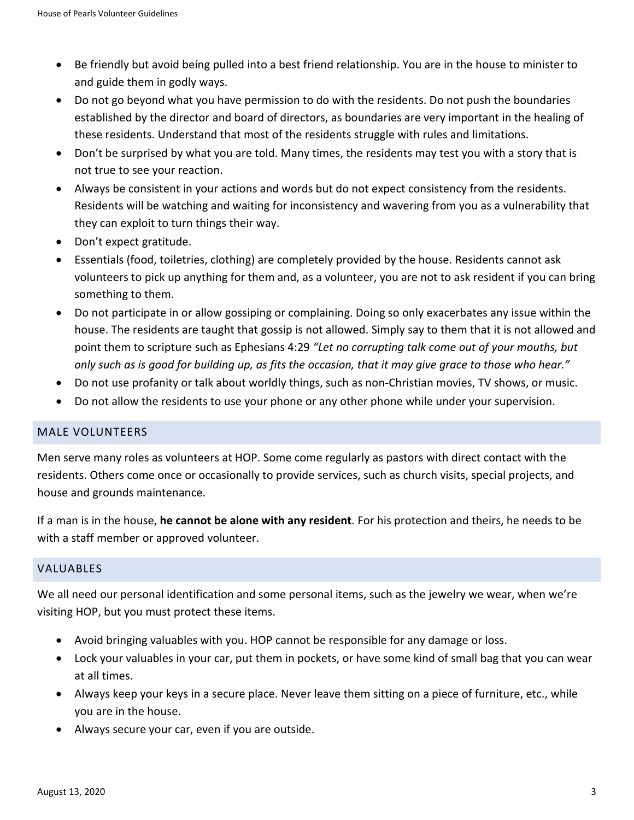- Be friendly but avoid being pulled into a best friend relationship. You are in the house to minister to and guide them in godly ways.
- Do not go beyond what you have permission to do with the residents. Do not push the boundaries established by the director and board of directors, as boundaries are very important in the healing of these residents. Understand that most of the residents struggle with rules and limitations.
- Don't be surprised by what you are told. Many times, the residents may test you with a story that is not true to see your reaction.
- Always be consistent in your actions and words but do not expect consistency from the residents. Residents will be watching and waiting for inconsistency and wavering from you as a vulnerability that they can exploit to turn things their way.
- Don't expect gratitude.
- Essentials (food, toiletries, clothing) are completely provided by the house. Residents cannot ask volunteers to pick up anything for them and, as a volunteer, you are not to ask resident if you can bring something to them.
- Do not participate in or allow gossiping or complaining. Doing so only exacerbates any issue within the house. The residents are taught that gossip is not allowed. Simply say to them that it is not allowed and point them to scripture such as Ephesians 4:29 *"Let no corrupting talk come out of your mouths, but only such as is good for building up, as fits the occasion, that it may give grace to those who hear."*
- Do not use profanity or talk about worldly things, such as non-Christian movies, TV shows, or music.
- Do not allow the residents to use your phone or any other phone while under your supervision.

## MALE VOLUNTEERS

Men serve many roles as volunteers at HOP. Some come regularly as pastors with direct contact with the residents. Others come once or occasionally to provide services, such as church visits, special projects, and house and grounds maintenance.

If a man is in the house, **he cannot be alone with any resident**. For his protection and theirs, he needs to be with a staff member or approved volunteer.

## VALUABLES

We all need our personal identification and some personal items, such as the jewelry we wear, when we're visiting HOP, but you must protect these items.

- Avoid bringing valuables with you. HOP cannot be responsible for any damage or loss.
- Lock your valuables in your car, put them in pockets, or have some kind of small bag that you can wear at all times.
- Always keep your keys in a secure place. Never leave them sitting on a piece of furniture, etc., while you are in the house.
- Always secure your car, even if you are outside.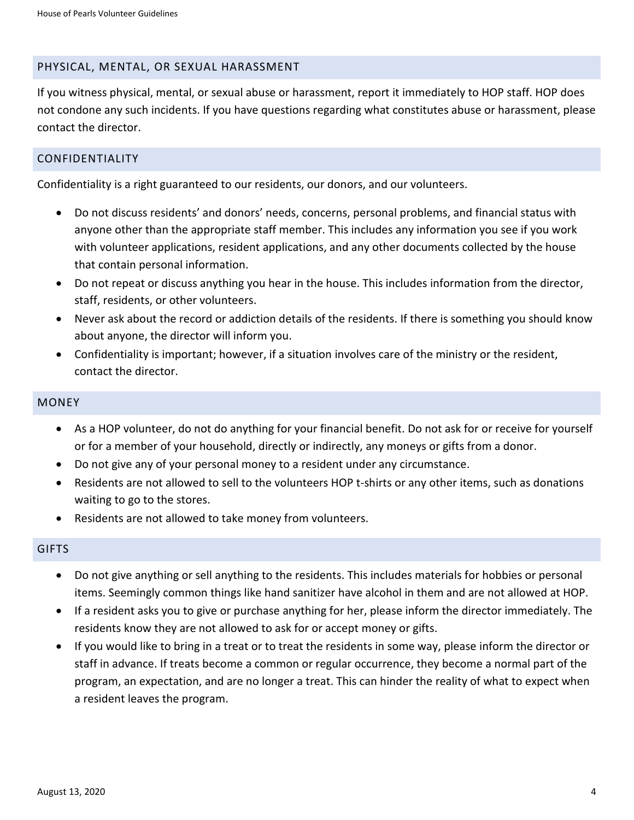#### PHYSICAL, MENTAL, OR SEXUAL HARASSMENT

If you witness physical, mental, or sexual abuse or harassment, report it immediately to HOP staff. HOP does not condone any such incidents. If you have questions regarding what constitutes abuse or harassment, please contact the director.

## CONFIDENTIALITY

Confidentiality is a right guaranteed to our residents, our donors, and our volunteers.

- Do not discuss residents' and donors' needs, concerns, personal problems, and financial status with anyone other than the appropriate staff member. This includes any information you see if you work with volunteer applications, resident applications, and any other documents collected by the house that contain personal information.
- Do not repeat or discuss anything you hear in the house. This includes information from the director, staff, residents, or other volunteers.
- Never ask about the record or addiction details of the residents. If there is something you should know about anyone, the director will inform you.
- Confidentiality is important; however, if a situation involves care of the ministry or the resident, contact the director.

#### **MONEY**

- As a HOP volunteer, do not do anything for your financial benefit. Do not ask for or receive for yourself or for a member of your household, directly or indirectly, any moneys or gifts from a donor.
- Do not give any of your personal money to a resident under any circumstance.
- Residents are not allowed to sell to the volunteers HOP t-shirts or any other items, such as donations waiting to go to the stores.
- Residents are not allowed to take money from volunteers.

## **GIFTS**

- Do not give anything or sell anything to the residents. This includes materials for hobbies or personal items. Seemingly common things like hand sanitizer have alcohol in them and are not allowed at HOP.
- If a resident asks you to give or purchase anything for her, please inform the director immediately. The residents know they are not allowed to ask for or accept money or gifts.
- If you would like to bring in a treat or to treat the residents in some way, please inform the director or staff in advance. If treats become a common or regular occurrence, they become a normal part of the program, an expectation, and are no longer a treat. This can hinder the reality of what to expect when a resident leaves the program.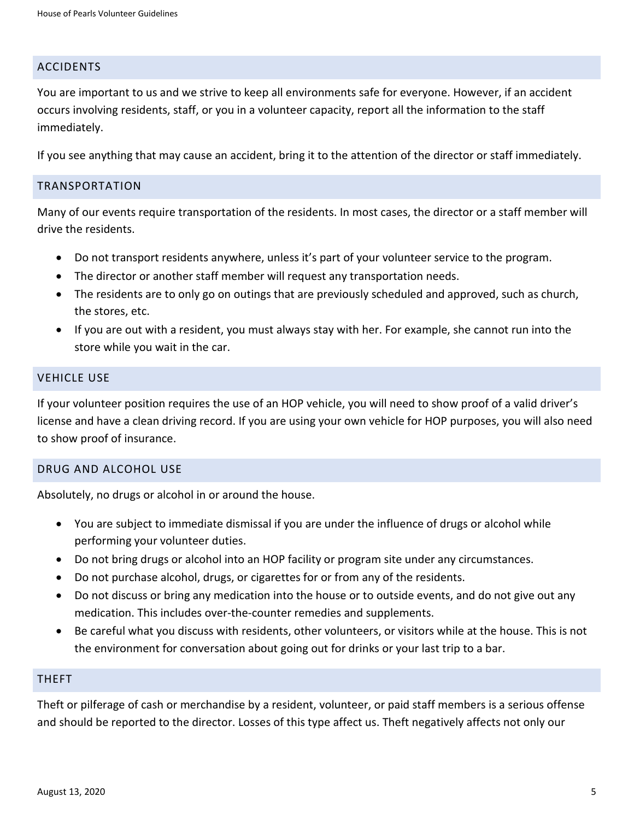#### ACCIDENTS

You are important to us and we strive to keep all environments safe for everyone. However, if an accident occurs involving residents, staff, or you in a volunteer capacity, report all the information to the staff immediately.

If you see anything that may cause an accident, bring it to the attention of the director or staff immediately.

#### TRANSPORTATION

Many of our events require transportation of the residents. In most cases, the director or a staff member will drive the residents.

- Do not transport residents anywhere, unless it's part of your volunteer service to the program.
- The director or another staff member will request any transportation needs.
- The residents are to only go on outings that are previously scheduled and approved, such as church, the stores, etc.
- If you are out with a resident, you must always stay with her. For example, she cannot run into the store while you wait in the car.

#### VEHICLE USE

If your volunteer position requires the use of an HOP vehicle, you will need to show proof of a valid driver's license and have a clean driving record. If you are using your own vehicle for HOP purposes, you will also need to show proof of insurance.

#### DRUG AND ALCOHOL USE

Absolutely, no drugs or alcohol in or around the house.

- You are subject to immediate dismissal if you are under the influence of drugs or alcohol while performing your volunteer duties.
- Do not bring drugs or alcohol into an HOP facility or program site under any circumstances.
- Do not purchase alcohol, drugs, or cigarettes for or from any of the residents.
- Do not discuss or bring any medication into the house or to outside events, and do not give out any medication. This includes over-the-counter remedies and supplements.
- Be careful what you discuss with residents, other volunteers, or visitors while at the house. This is not the environment for conversation about going out for drinks or your last trip to a bar.

#### THEFT

Theft or pilferage of cash or merchandise by a resident, volunteer, or paid staff members is a serious offense and should be reported to the director. Losses of this type affect us. Theft negatively affects not only our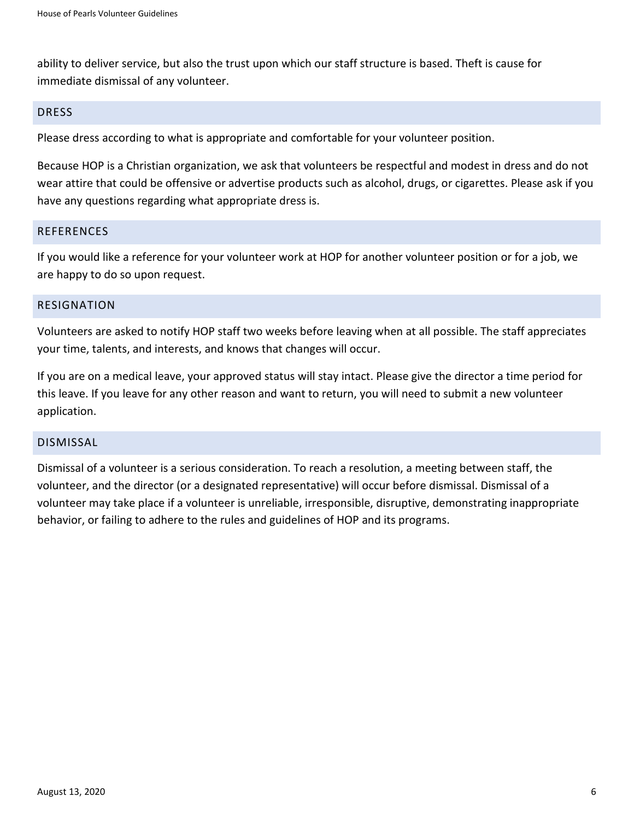ability to deliver service, but also the trust upon which our staff structure is based. Theft is cause for immediate dismissal of any volunteer.

#### DRESS

Please dress according to what is appropriate and comfortable for your volunteer position.

Because HOP is a Christian organization, we ask that volunteers be respectful and modest in dress and do not wear attire that could be offensive or advertise products such as alcohol, drugs, or cigarettes. Please ask if you have any questions regarding what appropriate dress is.

#### **REFERENCES**

If you would like a reference for your volunteer work at HOP for another volunteer position or for a job, we are happy to do so upon request.

#### RESIGNATION

Volunteers are asked to notify HOP staff two weeks before leaving when at all possible. The staff appreciates your time, talents, and interests, and knows that changes will occur.

If you are on a medical leave, your approved status will stay intact. Please give the director a time period for this leave. If you leave for any other reason and want to return, you will need to submit a new volunteer application.

#### DISMISSAL

Dismissal of a volunteer is a serious consideration. To reach a resolution, a meeting between staff, the volunteer, and the director (or a designated representative) will occur before dismissal. Dismissal of a volunteer may take place if a volunteer is unreliable, irresponsible, disruptive, demonstrating inappropriate behavior, or failing to adhere to the rules and guidelines of HOP and its programs.